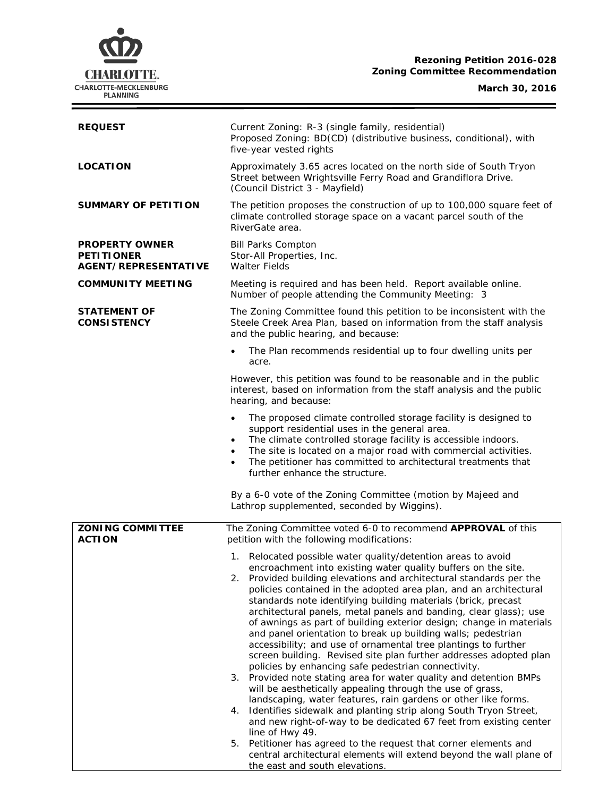# **Rezoning Petition 2016-028 Zoning Committee Recommendation**

**March 30, 2016**

Ξ



| <b>REQUEST</b>                                                            | Current Zoning: R-3 (single family, residential)<br>Proposed Zoning: BD(CD) (distributive business, conditional), with<br>five-year vested rights                                                                                                                                                                                                                                                                                                                                                                                                                                                                                                                                                                                                                                                                                                                                                                                                                                                                                                                                                                                                                                                                                                                                                        |
|---------------------------------------------------------------------------|----------------------------------------------------------------------------------------------------------------------------------------------------------------------------------------------------------------------------------------------------------------------------------------------------------------------------------------------------------------------------------------------------------------------------------------------------------------------------------------------------------------------------------------------------------------------------------------------------------------------------------------------------------------------------------------------------------------------------------------------------------------------------------------------------------------------------------------------------------------------------------------------------------------------------------------------------------------------------------------------------------------------------------------------------------------------------------------------------------------------------------------------------------------------------------------------------------------------------------------------------------------------------------------------------------|
| <b>LOCATION</b>                                                           | Approximately 3.65 acres located on the north side of South Tryon<br>Street between Wrightsville Ferry Road and Grandiflora Drive.<br>(Council District 3 - Mayfield)                                                                                                                                                                                                                                                                                                                                                                                                                                                                                                                                                                                                                                                                                                                                                                                                                                                                                                                                                                                                                                                                                                                                    |
| <b>SUMMARY OF PETITION</b>                                                | The petition proposes the construction of up to 100,000 square feet of<br>climate controlled storage space on a vacant parcel south of the<br>RiverGate area.                                                                                                                                                                                                                                                                                                                                                                                                                                                                                                                                                                                                                                                                                                                                                                                                                                                                                                                                                                                                                                                                                                                                            |
| <b>PROPERTY OWNER</b><br><b>PETITIONER</b><br><b>AGENT/REPRESENTATIVE</b> | <b>Bill Parks Compton</b><br>Stor-All Properties, Inc.<br><b>Walter Fields</b>                                                                                                                                                                                                                                                                                                                                                                                                                                                                                                                                                                                                                                                                                                                                                                                                                                                                                                                                                                                                                                                                                                                                                                                                                           |
| <b>COMMUNITY MEETING</b>                                                  | Meeting is required and has been held. Report available online.<br>Number of people attending the Community Meeting: 3                                                                                                                                                                                                                                                                                                                                                                                                                                                                                                                                                                                                                                                                                                                                                                                                                                                                                                                                                                                                                                                                                                                                                                                   |
| STATEMENT OF<br><b>CONSISTENCY</b>                                        | The Zoning Committee found this petition to be inconsistent with the<br>Steele Creek Area Plan, based on information from the staff analysis<br>and the public hearing, and because:                                                                                                                                                                                                                                                                                                                                                                                                                                                                                                                                                                                                                                                                                                                                                                                                                                                                                                                                                                                                                                                                                                                     |
|                                                                           | The Plan recommends residential up to four dwelling units per<br>acre.                                                                                                                                                                                                                                                                                                                                                                                                                                                                                                                                                                                                                                                                                                                                                                                                                                                                                                                                                                                                                                                                                                                                                                                                                                   |
|                                                                           | However, this petition was found to be reasonable and in the public<br>interest, based on information from the staff analysis and the public<br>hearing, and because:                                                                                                                                                                                                                                                                                                                                                                                                                                                                                                                                                                                                                                                                                                                                                                                                                                                                                                                                                                                                                                                                                                                                    |
|                                                                           | The proposed climate controlled storage facility is designed to<br>support residential uses in the general area.<br>The climate controlled storage facility is accessible indoors.<br>The site is located on a major road with commercial activities.<br>The petitioner has committed to architectural treatments that<br>further enhance the structure.                                                                                                                                                                                                                                                                                                                                                                                                                                                                                                                                                                                                                                                                                                                                                                                                                                                                                                                                                 |
|                                                                           | By a 6-0 vote of the Zoning Committee (motion by Majeed and<br>Lathrop supplemented, seconded by Wiggins).                                                                                                                                                                                                                                                                                                                                                                                                                                                                                                                                                                                                                                                                                                                                                                                                                                                                                                                                                                                                                                                                                                                                                                                               |
| <b>ZONING COMMITTEE</b><br><b>ACTION</b>                                  | The Zoning Committee voted 6-0 to recommend APPROVAL of this<br>petition with the following modifications:                                                                                                                                                                                                                                                                                                                                                                                                                                                                                                                                                                                                                                                                                                                                                                                                                                                                                                                                                                                                                                                                                                                                                                                               |
|                                                                           | 1. Relocated possible water quality/detention areas to avoid<br>encroachment into existing water quality buffers on the site.<br>2. Provided building elevations and architectural standards per the<br>policies contained in the adopted area plan, and an architectural<br>standards note identifying building materials (brick, precast<br>architectural panels, metal panels and banding, clear glass); use<br>of awnings as part of building exterior design; change in materials<br>and panel orientation to break up building walls; pedestrian<br>accessibility; and use of ornamental tree plantings to further<br>screen building. Revised site plan further addresses adopted plan<br>policies by enhancing safe pedestrian connectivity.<br>3. Provided note stating area for water quality and detention BMPs<br>will be aesthetically appealing through the use of grass,<br>landscaping, water features, rain gardens or other like forms.<br>Identifies sidewalk and planting strip along South Tryon Street,<br>4.<br>and new right-of-way to be dedicated 67 feet from existing center<br>line of Hwy 49.<br>5. Petitioner has agreed to the request that corner elements and<br>central architectural elements will extend beyond the wall plane of<br>the east and south elevations. |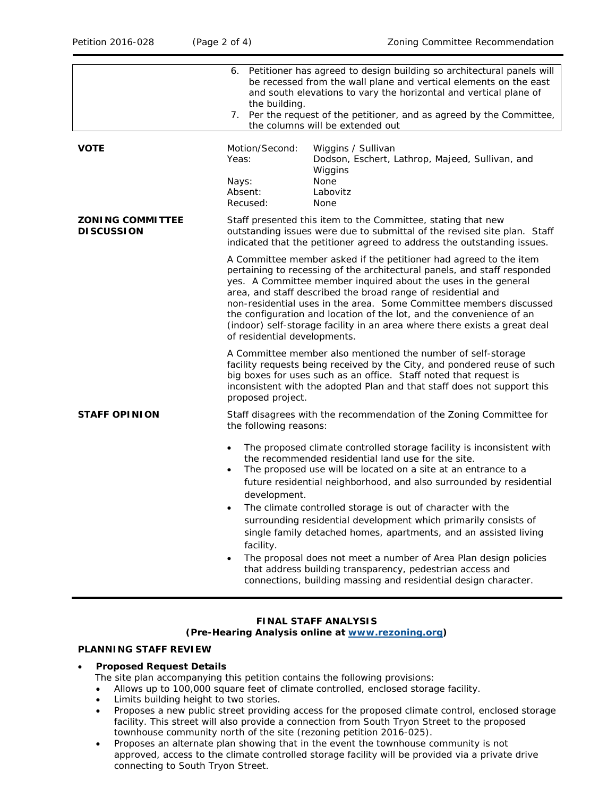|                                              | 6. Petitioner has agreed to design building so architectural panels will<br>be recessed from the wall plane and vertical elements on the east<br>and south elevations to vary the horizontal and vertical plane of<br>the building.<br>7. Per the request of the petitioner, and as agreed by the Committee,<br>the columns will be extended out                                                                                                                                                                                                                                                                                                                                                                                                                |
|----------------------------------------------|-----------------------------------------------------------------------------------------------------------------------------------------------------------------------------------------------------------------------------------------------------------------------------------------------------------------------------------------------------------------------------------------------------------------------------------------------------------------------------------------------------------------------------------------------------------------------------------------------------------------------------------------------------------------------------------------------------------------------------------------------------------------|
| VOTE                                         | Motion/Second:<br>Wiggins / Sullivan<br>Yeas:<br>Dodson, Eschert, Lathrop, Majeed, Sullivan, and<br>Wiggins<br>None<br>Nays:<br>Absent:<br>Labovitz<br>Recused:<br>None                                                                                                                                                                                                                                                                                                                                                                                                                                                                                                                                                                                         |
| <b>ZONING COMMITTEE</b><br><b>DISCUSSION</b> | Staff presented this item to the Committee, stating that new<br>outstanding issues were due to submittal of the revised site plan. Staff<br>indicated that the petitioner agreed to address the outstanding issues.                                                                                                                                                                                                                                                                                                                                                                                                                                                                                                                                             |
|                                              | A Committee member asked if the petitioner had agreed to the item<br>pertaining to recessing of the architectural panels, and staff responded<br>yes. A Committee member inquired about the uses in the general<br>area, and staff described the broad range of residential and<br>non-residential uses in the area. Some Committee members discussed<br>the configuration and location of the lot, and the convenience of an<br>(indoor) self-storage facility in an area where there exists a great deal<br>of residential developments.                                                                                                                                                                                                                      |
|                                              | A Committee member also mentioned the number of self-storage<br>facility requests being received by the City, and pondered reuse of such<br>big boxes for uses such as an office. Staff noted that request is<br>inconsistent with the adopted Plan and that staff does not support this<br>proposed project.                                                                                                                                                                                                                                                                                                                                                                                                                                                   |
| <b>STAFF OPINION</b>                         | Staff disagrees with the recommendation of the Zoning Committee for<br>the following reasons:                                                                                                                                                                                                                                                                                                                                                                                                                                                                                                                                                                                                                                                                   |
|                                              | The proposed climate controlled storage facility is inconsistent with<br>$\bullet$<br>the recommended residential land use for the site.<br>The proposed use will be located on a site at an entrance to a<br>$\bullet$<br>future residential neighborhood, and also surrounded by residential<br>development.<br>The climate controlled storage is out of character with the<br>$\bullet$<br>surrounding residential development which primarily consists of<br>single family detached homes, apartments, and an assisted living<br>facility.<br>The proposal does not meet a number of Area Plan design policies<br>$\bullet$<br>that address building transparency, pedestrian access and<br>connections, building massing and residential design character. |

#### **FINAL STAFF ANALYSIS (Pre-Hearing Analysis online at [www.rezoning.org\)](http://www.rezoning.org/)**

# **PLANNING STAFF REVIEW**

# • **Proposed Request Details**

- The site plan accompanying this petition contains the following provisions:
- Allows up to 100,000 square feet of climate controlled, enclosed storage facility.
- Limits building height to two stories.
- Proposes a new public street providing access for the proposed climate control, enclosed storage facility. This street will also provide a connection from South Tryon Street to the proposed townhouse community north of the site (rezoning petition 2016-025).
- Proposes an alternate plan showing that in the event the townhouse community is not approved, access to the climate controlled storage facility will be provided via a private drive connecting to South Tryon Street.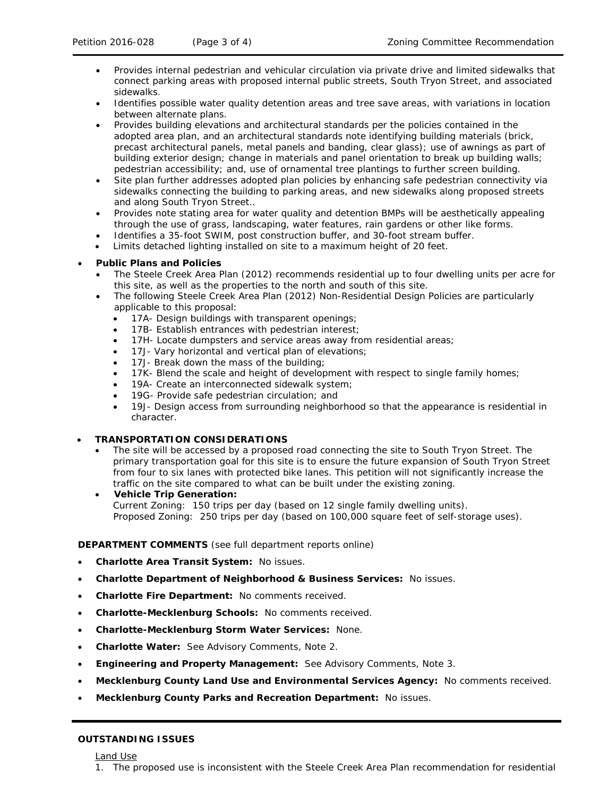- Provides internal pedestrian and vehicular circulation via private drive and limited sidewalks that connect parking areas with proposed internal public streets, South Tryon Street, and associated sidewalks.
- Identifies possible water quality detention areas and tree save areas, with variations in location between alternate plans.
- Provides building elevations and architectural standards per the policies contained in the adopted area plan, and an architectural standards note identifying building materials (brick, precast architectural panels, metal panels and banding, clear glass); use of awnings as part of building exterior design; change in materials and panel orientation to break up building walls; pedestrian accessibility; and, use of ornamental tree plantings to further screen building.
- Site plan further addresses adopted plan policies by enhancing safe pedestrian connectivity via sidewalks connecting the building to parking areas, and new sidewalks along proposed streets and along South Tryon Street..
- Provides note stating area for water quality and detention BMPs will be aesthetically appealing through the use of grass, landscaping, water features, rain gardens or other like forms.
- Identifies a 35-foot SWIM, post construction buffer, and 30-foot stream buffer.
- Limits detached lighting installed on site to a maximum height of 20 feet.

### • **Public Plans and Policies**

- The *Steele Creek Area Plan* (2012) recommends residential up to four dwelling units per acre for this site, as well as the properties to the north and south of this site.
- The following Steele Creek Area Plan (2012) Non-Residential Design Policies are particularly applicable to this proposal:
	- 17A- Design buildings with transparent openings;
	- 17B- Establish entrances with pedestrian interest;
	- 17H- Locate dumpsters and service areas away from residential areas;
	- 17J- Vary horizontal and vertical plan of elevations;
	- 17J- Break down the mass of the building;
	- 17K- Blend the scale and height of development with respect to single family homes;
	- 19A- Create an interconnected sidewalk system;
	- 19G- Provide safe pedestrian circulation; and
	- 19J- Design access from surrounding neighborhood so that the appearance is residential in character.

# • **TRANSPORTATION CONSIDERATIONS**

The site will be accessed by a proposed road connecting the site to South Tryon Street. The primary transportation goal for this site is to ensure the future expansion of South Tryon Street from four to six lanes with protected bike lanes. This petition will not significantly increase the traffic on the site compared to what can be built under the existing zoning.

### • **Vehicle Trip Generation:**

Current Zoning: 150 trips per day (based on 12 single family dwelling units). Proposed Zoning: 250 trips per day (based on 100,000 square feet of self-storage uses).

### **DEPARTMENT COMMENTS** (see full department reports online)

- **Charlotte Area Transit System:** No issues.
- **Charlotte Department of Neighborhood & Business Services:** No issues.
- **Charlotte Fire Department:** No comments received.
- **Charlotte-Mecklenburg Schools:** No comments received.
- **Charlotte-Mecklenburg Storm Water Services:** None.
- **Charlotte Water:** See Advisory Comments, Note 2.
- **Engineering and Property Management:** See Advisory Comments, Note 3.
- **Mecklenburg County Land Use and Environmental Services Agency:** No comments received.
- **Mecklenburg County Parks and Recreation Department:** No issues.

### **OUTSTANDING ISSUES**

Land Use

1. The proposed use is inconsistent with the Steele Creek Area Plan recommendation for residential